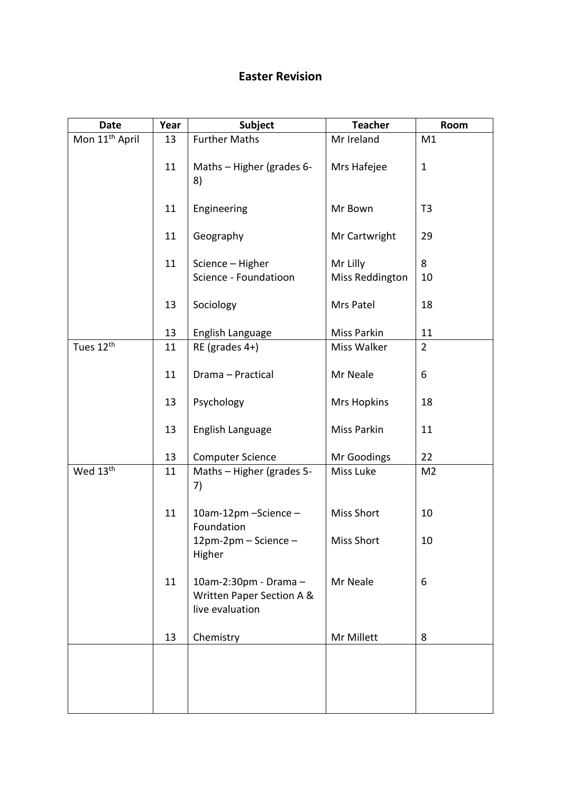## **Easter Revision**

| <b>Date</b>                | Year | <b>Subject</b>                                                        | <b>Teacher</b>              | Room           |
|----------------------------|------|-----------------------------------------------------------------------|-----------------------------|----------------|
| Mon 11 <sup>th</sup> April | 13   | <b>Further Maths</b>                                                  | Mr Ireland                  | M1             |
|                            | 11   | Maths - Higher (grades 6-<br>8)                                       | Mrs Hafejee                 | $\mathbf 1$    |
|                            | 11   | Engineering                                                           | Mr Bown                     | T <sub>3</sub> |
|                            | 11   | Geography                                                             | Mr Cartwright               | 29             |
|                            | 11   | Science - Higher<br>Science - Foundatioon                             | Mr Lilly<br>Miss Reddington | 8<br>10        |
|                            | 13   | Sociology                                                             | Mrs Patel                   | 18             |
|                            | 13   | English Language                                                      | Miss Parkin                 | 11             |
| Tues 12 <sup>th</sup>      | 11   | RE (grades 4+)                                                        | Miss Walker                 | $\overline{2}$ |
|                            | 11   | Drama - Practical                                                     | Mr Neale                    | 6              |
|                            | 13   | Psychology                                                            | <b>Mrs Hopkins</b>          | 18             |
|                            | 13   | English Language                                                      | Miss Parkin                 | 11             |
|                            | 13   | <b>Computer Science</b>                                               | Mr Goodings                 | 22             |
| Wed 13 <sup>th</sup>       | 11   | Maths - Higher (grades 5-<br>7)                                       | Miss Luke                   | M <sub>2</sub> |
|                            | 11   | 10am-12pm - Science -<br>Foundation                                   | <b>Miss Short</b>           | 10             |
|                            |      | 12pm-2pm - Science -<br>Higher                                        | <b>Miss Short</b>           | 10             |
|                            | 11   | 10am-2:30pm - Drama -<br>Written Paper Section A &<br>live evaluation | Mr Neale                    | 6              |
|                            | 13   | Chemistry                                                             | Mr Millett                  | 8              |
|                            |      |                                                                       |                             |                |